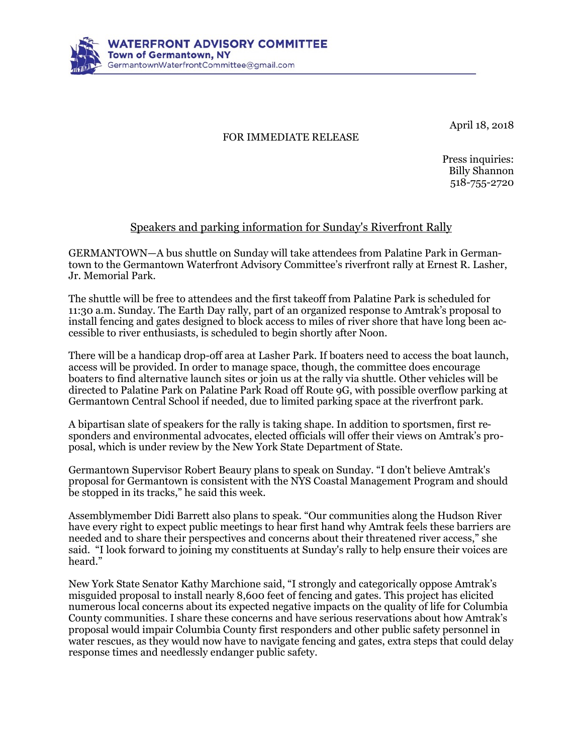

April 18, 2o18

## FOR IMMEDIATE RELEASE

Press inquiries: Billy Shannon 518-755-2720

## Speakers and parking information for Sunday's Riverfront Rally

GERMANTOWN—A bus shuttle on Sunday will take attendees from Palatine Park in Germantown to the Germantown Waterfront Advisory Committee's riverfront rally at Ernest R. Lasher, Jr. Memorial Park.

The shuttle will be free to attendees and the first takeoff from Palatine Park is scheduled for 11:30 a.m. Sunday. The Earth Day rally, part of an organized response to Amtrak's proposal to install fencing and gates designed to block access to miles of river shore that have long been accessible to river enthusiasts, is scheduled to begin shortly after Noon.

There will be a handicap drop-off area at Lasher Park. If boaters need to access the boat launch, access will be provided. In order to manage space, though, the committee does encourage boaters to find alternative launch sites or join us at the rally via shuttle. Other vehicles will be directed to Palatine Park on Palatine Park Road off Route 9G, with possible overflow parking at Germantown Central School if needed, due to limited parking space at the riverfront park.

A bipartisan slate of speakers for the rally is taking shape. In addition to sportsmen, first responders and environmental advocates, elected officials will offer their views on Amtrak's proposal, which is under review by the New York State Department of State.

Germantown Supervisor Robert Beaury plans to speak on Sunday. "I don't believe Amtrak's proposal for Germantown is consistent with the NYS Coastal Management Program and should be stopped in its tracks," he said this week.

Assemblymember Didi Barrett also plans to speak. "Our communities along the Hudson River have every right to expect public meetings to hear first hand why Amtrak feels these barriers are needed and to share their perspectives and concerns about their threatened river access," she said. "I look forward to joining my constituents at Sunday's rally to help ensure their voices are heard."

New York State Senator Kathy Marchione said, "I strongly and categorically oppose Amtrak's misguided proposal to install nearly 8,600 feet of fencing and gates. This project has elicited numerous local concerns about its expected negative impacts on the quality of life for Columbia County communities. I share these concerns and have serious reservations about how Amtrak's proposal would impair Columbia County first responders and other public safety personnel in water rescues, as they would now have to navigate fencing and gates, extra steps that could delay response times and needlessly endanger public safety.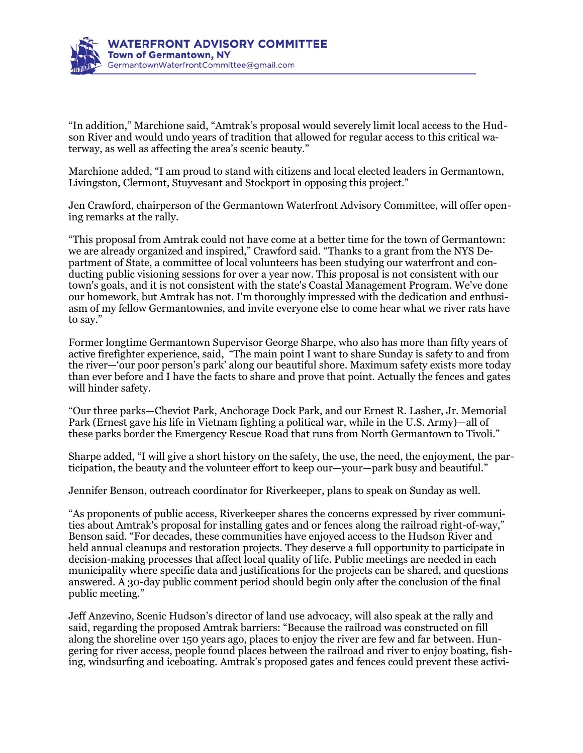

"In addition," Marchione said, "Amtrak's proposal would severely limit local access to the Hudson River and would undo years of tradition that allowed for regular access to this critical waterway, as well as affecting the area's scenic beauty."

Marchione added, "I am proud to stand with citizens and local elected leaders in Germantown, Livingston, Clermont, Stuyvesant and Stockport in opposing this project."

Jen Crawford, chairperson of the Germantown Waterfront Advisory Committee, will offer opening remarks at the rally.

"This proposal from Amtrak could not have come at a better time for the town of Germantown: we are already organized and inspired," Crawford said. "Thanks to a grant from the NYS Department of State, a committee of local volunteers has been studying our waterfront and conducting public visioning sessions for over a year now. This proposal is not consistent with our town's goals, and it is not consistent with the state's Coastal Management Program. We've done our homework, but Amtrak has not. I'm thoroughly impressed with the dedication and enthusiasm of my fellow Germantownies, and invite everyone else to come hear what we river rats have to say."

Former longtime Germantown Supervisor George Sharpe, who also has more than fifty years of active firefighter experience, said, "The main point I want to share Sunday is safety to and from the river—'our poor person's park' along our beautiful shore. Maximum safety exists more today than ever before and I have the facts to share and prove that point. Actually the fences and gates will hinder safety.

"Our three parks—Cheviot Park, Anchorage Dock Park, and our Ernest R. Lasher, Jr. Memorial Park (Ernest gave his life in Vietnam fighting a political war, while in the U.S. Army)—all of these parks border the Emergency Rescue Road that runs from North Germantown to Tivoli."

Sharpe added, "I will give a short history on the safety, the use, the need, the enjoyment, the participation, the beauty and the volunteer effort to keep our—your—park busy and beautiful."

Jennifer Benson, outreach coordinator for Riverkeeper, plans to speak on Sunday as well.

"As proponents of public access, Riverkeeper shares the concerns expressed by river communities about Amtrak's proposal for installing gates and or fences along the railroad right-of-way," Benson said. "For decades, these communities have enjoyed access to the Hudson River and held annual cleanups and restoration projects. They deserve a full opportunity to participate in decision-making processes that affect local quality of life. Public meetings are needed in each municipality where specific data and justifications for the projects can be shared, and questions answered. A 30-day public comment period should begin only after the conclusion of the final public meeting."

Jeff Anzevino, Scenic Hudson's director of land use advocacy, will also speak at the rally and said, regarding the proposed Amtrak barriers: "Because the railroad was constructed on fill along the shoreline over 150 years ago, places to enjoy the river are few and far between. Hungering for river access, people found places between the railroad and river to enjoy boating, fishing, windsurfing and iceboating. Amtrak's proposed gates and fences could prevent these activi-